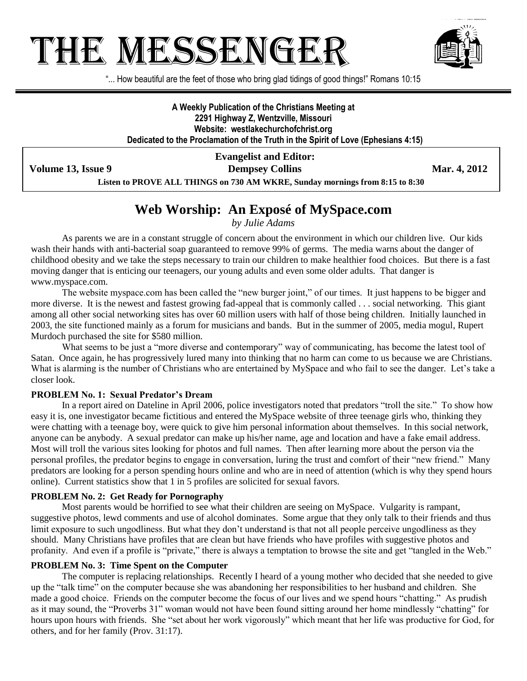# THE MESSENGEF



"... How beautiful are the feet of those who bring glad tidings of good things!" Romans 10:15

**A Weekly Publication of the Christians Meeting at 2291 Highway Z, Wentzville, Missouri Website: westlakechurchofchrist.org Dedicated to the Proclamation of the Truth in the Spirit of Love (Ephesians 4:15)**

**Volume 13, Issue 9 Dempsey Collins Mar. 4, 2012** 

**Evangelist and Editor:**

**Listen to PROVE ALL THINGS on 730 AM WKRE, Sunday mornings from 8:15 to 8:30**

# **Web Worship: An Exposé of MySpace.com**

*by Julie Adams*

As parents we are in a constant struggle of concern about the environment in which our children live. Our kids wash their hands with anti-bacterial soap guaranteed to remove 99% of germs. The media warns about the danger of childhood obesity and we take the steps necessary to train our children to make healthier food choices. But there is a fast moving danger that is enticing our teenagers, our young adults and even some older adults. That danger is www.myspace.com.

The website myspace.com has been called the "new burger joint," of our times. It just happens to be bigger and more diverse. It is the newest and fastest growing fad-appeal that is commonly called . . . social networking. This giant among all other social networking sites has over 60 million users with half of those being children. Initially launched in 2003, the site functioned mainly as a forum for musicians and bands. But in the summer of 2005, media mogul, Rupert Murdoch purchased the site for \$580 million.

What seems to be just a "more diverse and contemporary" way of communicating, has become the latest tool of Satan. Once again, he has progressively lured many into thinking that no harm can come to us because we are Christians. What is alarming is the number of Christians who are entertained by MySpace and who fail to see the danger. Let's take a closer look.

## **PROBLEM No. 1: Sexual Predator's Dream**

In a report aired on Dateline in April 2006, police investigators noted that predators "troll the site." To show how easy it is, one investigator became fictitious and entered the MySpace website of three teenage girls who, thinking they were chatting with a teenage boy, were quick to give him personal information about themselves. In this social network, anyone can be anybody. A sexual predator can make up his/her name, age and location and have a fake email address. Most will troll the various sites looking for photos and full names. Then after learning more about the person via the personal profiles, the predator begins to engage in conversation, luring the trust and comfort of their "new friend." Many predators are looking for a person spending hours online and who are in need of attention (which is why they spend hours online). Current statistics show that 1 in 5 profiles are solicited for sexual favors.

## **PROBLEM No. 2: Get Ready for Pornography**

Most parents would be horrified to see what their children are seeing on MySpace. Vulgarity is rampant, suggestive photos, lewd comments and use of alcohol dominates. Some argue that they only talk to their friends and thus limit exposure to such ungodliness. But what they don't understand is that not all people perceive ungodliness as they should. Many Christians have profiles that are clean but have friends who have profiles with suggestive photos and profanity. And even if a profile is "private," there is always a temptation to browse the site and get "tangled in the Web."

#### **PROBLEM No. 3: Time Spent on the Computer**

The computer is replacing relationships. Recently I heard of a young mother who decided that she needed to give up the "talk time" on the computer because she was abandoning her responsibilities to her husband and children. She made a good choice. Friends on the computer become the focus of our lives and we spend hours "chatting." As prudish as it may sound, the "Proverbs 31" woman would not have been found sitting around her home mindlessly "chatting" for hours upon hours with friends. She "set about her work vigorously" which meant that her life was productive for God, for others, and for her family (Prov. 31:17).